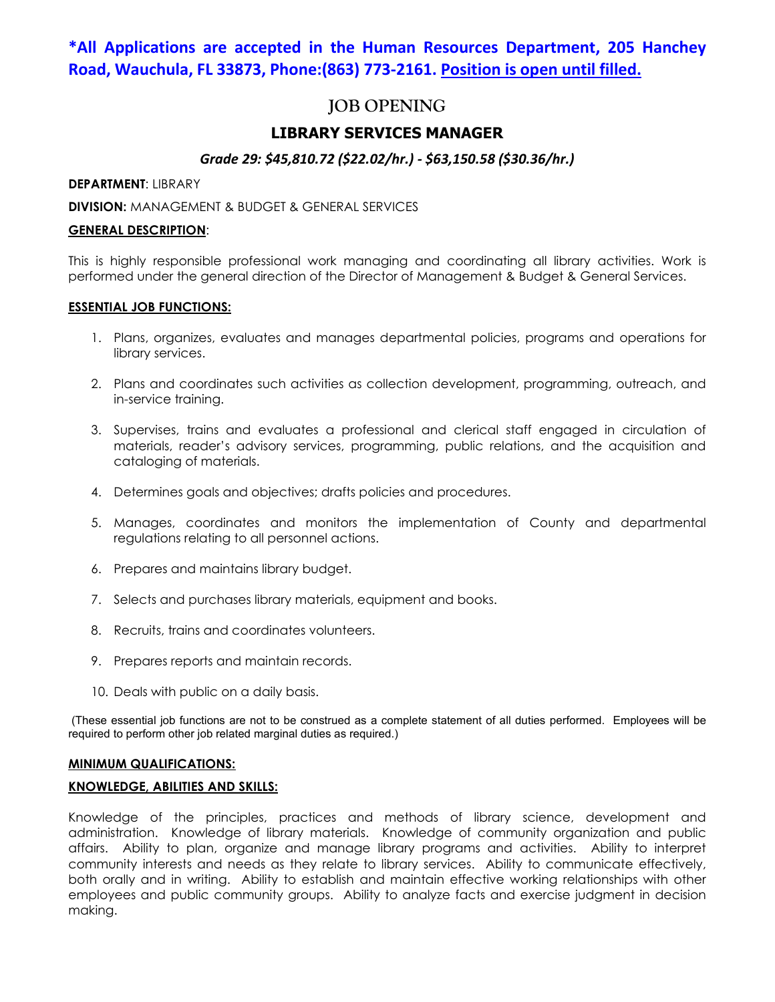# **\*All Applications are accepted in the Human Resources Department, 205 Hanchey Road, Wauchula, FL 33873, Phone:(863) 773-2161. Position is open until filled.**

# **JOB OPENING**

## **LIBRARY SERVICES MANAGER**

## *Grade 29: \$45,810.72 (\$22.02/hr.) - \$63,150.58 (\$30.36/hr.)*

#### **DEPARTMENT**: LIBRARY

#### **DIVISION:** MANAGEMENT & BUDGET & GENERAL SERVICES

#### **GENERAL DESCRIPTION**:

This is highly responsible professional work managing and coordinating all library activities. Work is performed under the general direction of the Director of Management & Budget & General Services.

#### **ESSENTIAL JOB FUNCTIONS:**

- 1. Plans, organizes, evaluates and manages departmental policies, programs and operations for library services.
- 2. Plans and coordinates such activities as collection development, programming, outreach, and in-service training.
- 3. Supervises, trains and evaluates a professional and clerical staff engaged in circulation of materials, reader's advisory services, programming, public relations, and the acquisition and cataloging of materials.
- 4. Determines goals and objectives; drafts policies and procedures.
- 5. Manages, coordinates and monitors the implementation of County and departmental regulations relating to all personnel actions.
- 6. Prepares and maintains library budget.
- 7. Selects and purchases library materials, equipment and books.
- 8. Recruits, trains and coordinates volunteers.
- 9. Prepares reports and maintain records.
- 10. Deals with public on a daily basis.

(These essential job functions are not to be construed as a complete statement of all duties performed. Employees will be required to perform other job related marginal duties as required.)

#### **MINIMUM QUALIFICATIONS:**

#### **KNOWLEDGE, ABILITIES AND SKILLS:**

Knowledge of the principles, practices and methods of library science, development and administration. Knowledge of library materials. Knowledge of community organization and public affairs. Ability to plan, organize and manage library programs and activities. Ability to interpret community interests and needs as they relate to library services. Ability to communicate effectively, both orally and in writing. Ability to establish and maintain effective working relationships with other employees and public community groups. Ability to analyze facts and exercise judgment in decision making.